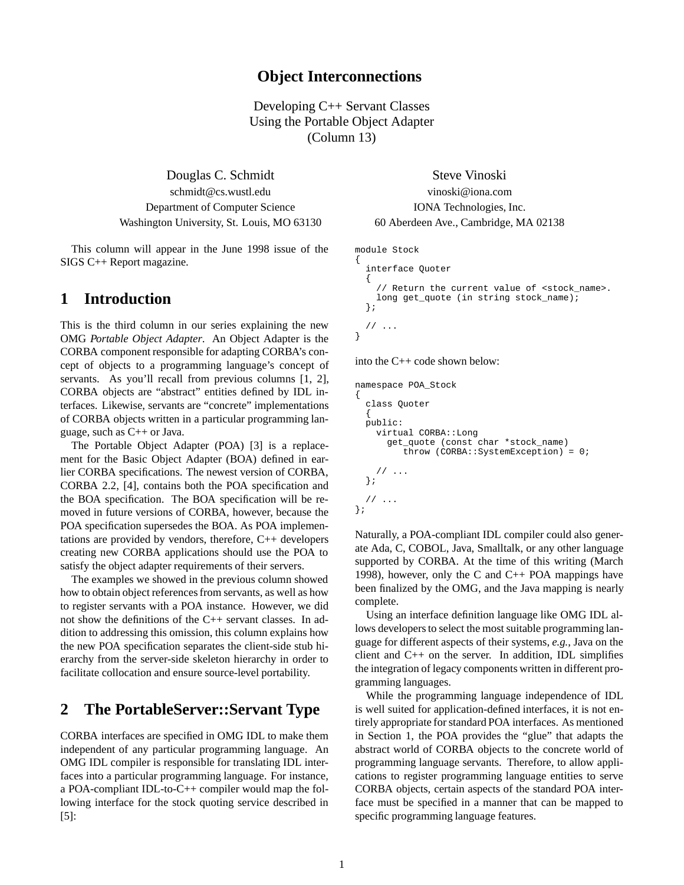### **Object Interconnections**

Developing C++ Servant Classes Using the Portable Object Adapter (Column 13)

Douglas C. Schmidt Steve Vinoski schmidt@cs.wustl.edu vinoski@iona.com Department of Computer Science IONA Technologies, Inc. Washington University, St. Louis, MO 63130 60 Aberdeen Ave., Cambridge, MA 02138

This column will appear in the June 1998 issue of the SIGS C++ Report magazine.

## **1 Introduction**

This is the third column in our series explaining the new OMG *Portable Object Adapter*. An Object Adapter is the CORBA component responsible for adapting CORBA's concept of objects to a programming language's concept of servants. As you'll recall from previous columns [1, 2], CORBA objects are "abstract" entities defined by IDL interfaces. Likewise, servants are "concrete" implementations of CORBA objects written in a particular programming language, such as C++ or Java.

The Portable Object Adapter (POA) [3] is a replacement for the Basic Object Adapter (BOA) defined in earlier CORBA specifications. The newest version of CORBA, CORBA 2.2, [4], contains both the POA specification and the BOA specification. The BOA specification will be removed in future versions of CORBA, however, because the POA specification supersedes the BOA. As POA implementations are provided by vendors, therefore, C++ developers creating new CORBA applications should use the POA to satisfy the object adapter requirements of their servers.

The examples we showed in the previous column showed how to obtain object references from servants, as well as how to register servants with a POA instance. However, we did not show the definitions of the C++ servant classes. In addition to addressing this omission, this column explains how the new POA specification separates the client-side stub hierarchy from the server-side skeleton hierarchy in order to facilitate collocation and ensure source-level portability.

## **2 The PortableServer::Servant Type**

CORBA interfaces are specified in OMG IDL to make them independent of any particular programming language. An OMG IDL compiler is responsible for translating IDL interfaces into a particular programming language. For instance, a POA-compliant IDL-to-C++ compiler would map the following interface for the stock quoting service described in [5]:

```
module Stock
```
}

```
{
 interface Quoter
  {
    // Return the current value of <stock_name>.
    long get_quote (in string stock_name);
 };
 // ...
```
into the C++ code shown below:

namespace POA\_Stock

```
{
 class Quoter
  {
  public:
   virtual CORBA::Long
     get_quote (const char *stock_name)
         throw (CORBA::SystemException) = 0;
    // ...
 };
  // ...
};
```
Naturally, a POA-compliant IDL compiler could also generate Ada, C, COBOL, Java, Smalltalk, or any other language supported by CORBA. At the time of this writing (March 1998), however, only the C and C++ POA mappings have been finalized by the OMG, and the Java mapping is nearly complete.

Using an interface definition language like OMG IDL allows developers to select the most suitable programming language for different aspects of their systems, *e.g.*, Java on the client and  $C_{++}$  on the server. In addition, IDL simplifies the integration of legacy components written in different programming languages.

While the programming language independence of IDL is well suited for application-defined interfaces, it is not entirely appropriate for standard POA interfaces. As mentioned in Section 1, the POA provides the "glue" that adapts the abstract world of CORBA objects to the concrete world of programming language servants. Therefore, to allow applications to register programming language entities to serve CORBA objects, certain aspects of the standard POA interface must be specified in a manner that can be mapped to specific programming language features.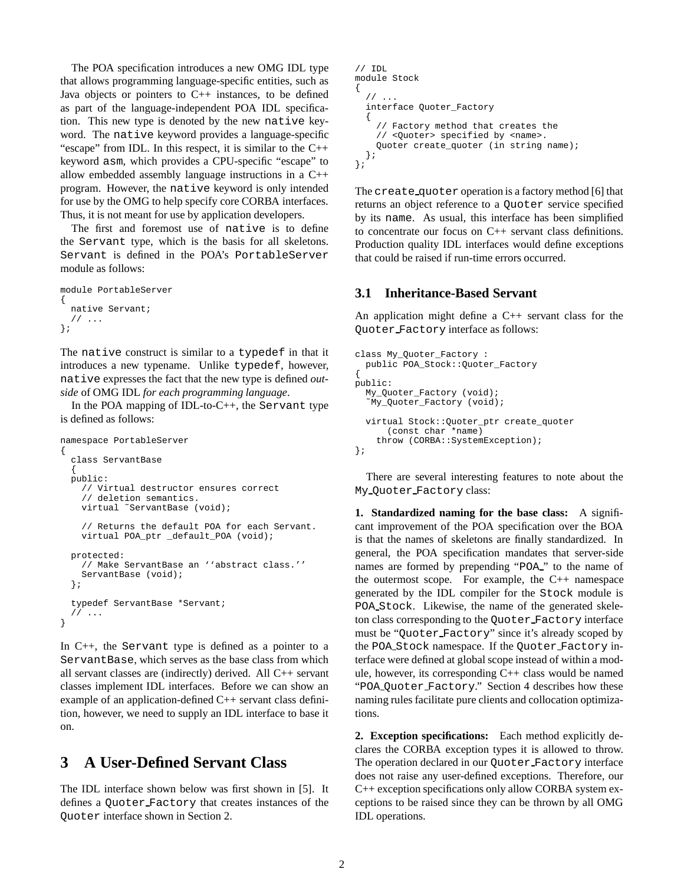The POA specification introduces a new OMG IDL type that allows programming language-specific entities, such as Java objects or pointers to  $C_{++}$  instances, to be defined as part of the language-independent POA IDL specification. This new type is denoted by the new native keyword. The native keyword provides a language-specific "escape" from IDL. In this respect, it is similar to the C++ keyword asm, which provides a CPU-specific "escape" to allow embedded assembly language instructions in a C++ program. However, the native keyword is only intended for use by the OMG to help specify core CORBA interfaces. Thus, it is not meant for use by application developers.

The first and foremost use of native is to define the Servant type, which is the basis for all skeletons. Servant is defined in the POA's PortableServer module as follows:

```
module PortableServer
{
  native Servant;
  // ...
};
```
The native construct is similar to a typedef in that it introduces a new typename. Unlike typedef, however, native expresses the fact that the new type is defined *outside* of OMG IDL *for each programming language*.

In the POA mapping of IDL-to-C++, the Servant type is defined as follows:

```
namespace PortableServer
{
  class ServantBase
  {
 public:
    // Virtual destructor ensures correct
    // deletion semantics.
    virtual ˜ServantBase (void);
    // Returns the default POA for each Servant.
    virtual POA_ptr _default_POA (void);
 protected:
    // Make ServantBase an ''abstract class.''
    ServantBase (void);
  };
  typedef ServantBase *Servant;
  // ...
}
```
In C++, the Servant type is defined as a pointer to a ServantBase, which serves as the base class from which all servant classes are (indirectly) derived. All C++ servant classes implement IDL interfaces. Before we can show an example of an application-defined C++ servant class definition, however, we need to supply an IDL interface to base it on.

# **3 A User-Defined Servant Class**

The IDL interface shown below was first shown in [5]. It defines a Quoter Factory that creates instances of the Quoter interface shown in Section 2.

```
// IDL
module Stock
{
  // ...
  interface Quoter_Factory
  {
    // Factory method that creates the
    // <Quoter> specified by <name>.
    Quoter create_quoter (in string name);
 };
};
```
The create quoter operation is a factory method [6] that returns an object reference to a Quoter service specified by its name. As usual, this interface has been simplified to concentrate our focus on C++ servant class definitions. Production quality IDL interfaces would define exceptions that could be raised if run-time errors occurred.

#### **3.1 Inheritance-Based Servant**

An application might define a C++ servant class for the Quoter Factory interface as follows:

```
class My Ouoter Factory :
 public POA_Stock::Quoter_Factory
{
public:
  My_Quoter_Factory (void);
  ˜My_Quoter_Factory (void);
  virtual Stock::Quoter_ptr create_quoter
      (const char *name)
    throw (CORBA::SystemException);
};
```
There are several interesting features to note about the My Quoter Factory class:

**1. Standardized naming for the base class:** A significant improvement of the POA specification over the BOA is that the names of skeletons are finally standardized. In general, the POA specification mandates that server-side names are formed by prepending "POA " to the name of the outermost scope. For example, the C++ namespace generated by the IDL compiler for the Stock module is POA Stock. Likewise, the name of the generated skeleton class corresponding to the Quoter Factory interface must be "Quoter Factory" since it's already scoped by the POA Stock namespace. If the Quoter Factory interface were defined at global scope instead of within a module, however, its corresponding C++ class would be named "POA Quoter Factory." Section 4 describes how these naming rules facilitate pure clients and collocation optimizations.

**2. Exception specifications:** Each method explicitly declares the CORBA exception types it is allowed to throw. The operation declared in our Quoter Factory interface does not raise any user-defined exceptions. Therefore, our C++ exception specifications only allow CORBA system exceptions to be raised since they can be thrown by all OMG IDL operations.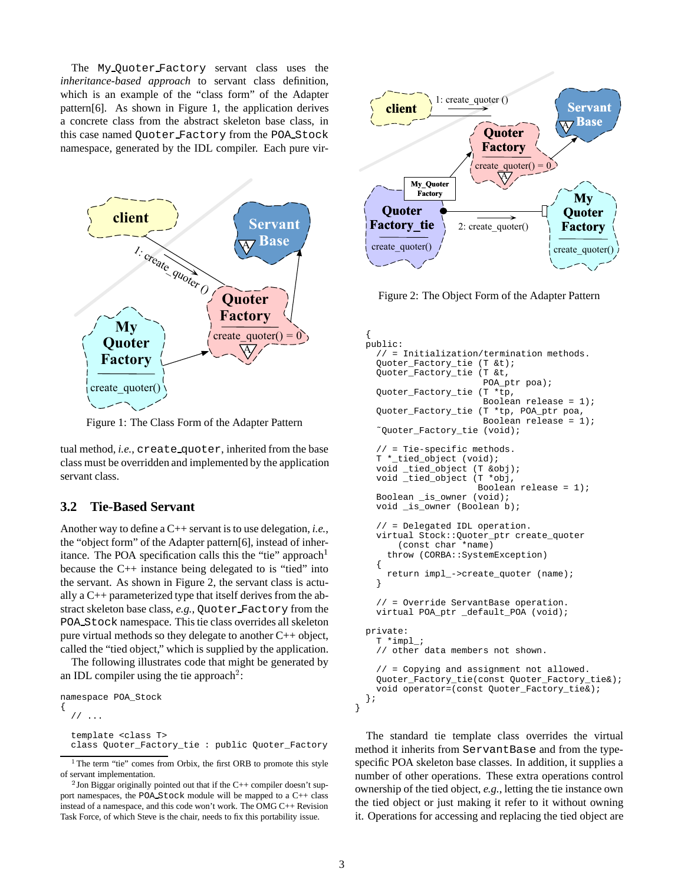The My Quoter Factory servant class uses the *inheritance-based approach* to servant class definition, which is an example of the "class form" of the Adapter pattern[6]. As shown in Figure 1, the application derives a concrete class from the abstract skeleton base class, in this case named Quoter Factory from the POA Stock namespace, generated by the IDL compiler. Each pure vir-



Figure 1: The Class Form of the Adapter Pattern

tual method, *i.e.*, create quoter, inherited from the base class must be overridden and implemented by the application servant class.

#### **3.2 Tie-Based Servant**

Another way to define a C++ servant is to use delegation, *i.e.*, the "object form" of the Adapter pattern[6], instead of inheritance. The POA specification calls this the "tie" approach<sup>1</sup> because the C++ instance being delegated to is "tied" into the servant. As shown in Figure 2, the servant class is actually a C++ parameterized type that itself derives from the abstract skeleton base class, *e.g.*, Quoter Factory from the POA Stock namespace. This tie class overrides all skeleton pure virtual methods so they delegate to another C++ object, called the "tied object," which is supplied by the application.

The following illustrates code that might be generated by an IDL compiler using the tie approach<sup>2</sup>:

```
namespace POA_Stock
{
  /template <class T>
  class Quoter_Factory_tie : public Quoter_Factory
```


Figure 2: The Object Form of the Adapter Pattern

```
{
public:
  // = Initialization/termination methods.
  Quoter_Factory_tie (T &t);
  Quoter_Factory_tie (T &t,
                       POA_ptr poa);
  Quoter_Factory_tie (T *tp,
                       Boolean release = 1);
  Quoter_Factory_tie (T *tp, POA_ptr poa,
                       Boolean release = 1);
  ˜Quoter_Factory_tie (void);
  // = Tie-specific methods.
  T *_tied_object (void);
  void _tied_object (T &obj);
  void _tied_object (T *obj,
                     Boolean release = 1);
  Boolean _is_owner (void);
  void _is_owner (Boolean b);
  // = Delegated IDL operation.
  virtual Stock::Quoter_ptr create_quoter
      (const char *name)
    throw (CORBA::SystemException)
  {
    return impl_->create_quoter (name);
  }
  // = Override ServantBase operation.
  virtual POA_ptr _default_POA (void);
private:
  T *impl_;
  // other data members not shown.
  // = Copying and assignment not allowed.
  Quoter_Factory_tie(const Quoter_Factory_tie&);
  void operator=(const Quoter_Factory_tie&);
};
```
The standard tie template class overrides the virtual method it inherits from ServantBase and from the typespecific POA skeleton base classes. In addition, it supplies a number of other operations. These extra operations control ownership of the tied object, *e.g.*, letting the tie instance own the tied object or just making it refer to it without owning it. Operations for accessing and replacing the tied object are

}

<sup>&</sup>lt;sup>1</sup>The term "tie" comes from Orbix, the first ORB to promote this style of servant implementation.

<sup>&</sup>lt;sup>2</sup> Jon Biggar originally pointed out that if the C++ compiler doesn't support namespaces, the POA Stock module will be mapped to a C++ class instead of a namespace, and this code won't work. The OMG C++ Revision Task Force, of which Steve is the chair, needs to fix this portability issue.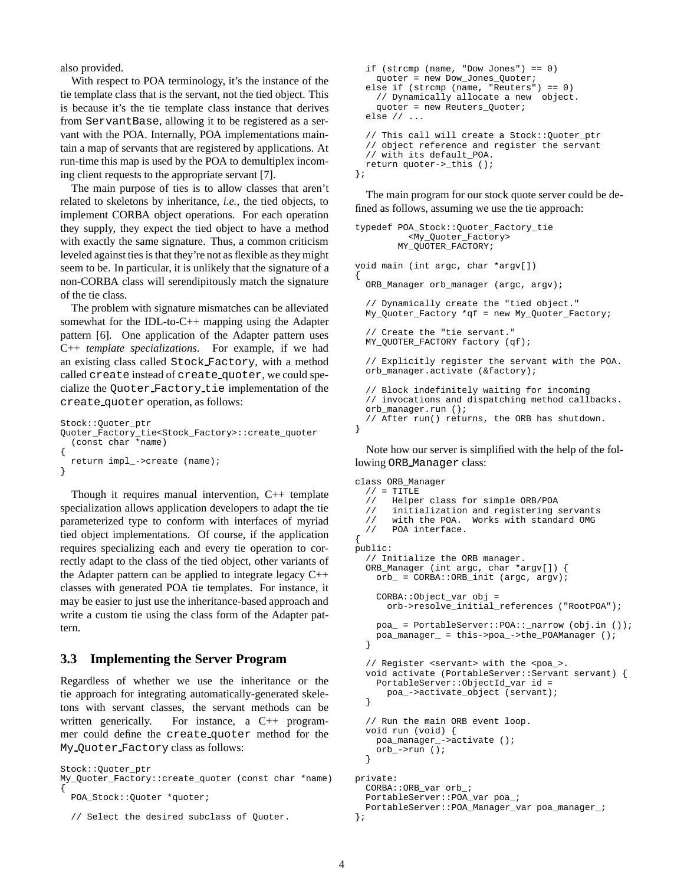also provided.

With respect to POA terminology, it's the instance of the tie template class that is the servant, not the tied object. This is because it's the tie template class instance that derives from ServantBase, allowing it to be registered as a servant with the POA. Internally, POA implementations maintain a map of servants that are registered by applications. At run-time this map is used by the POA to demultiplex incoming client requests to the appropriate servant [7].

The main purpose of ties is to allow classes that aren't related to skeletons by inheritance, *i.e.*, the tied objects, to implement CORBA object operations. For each operation they supply, they expect the tied object to have a method with exactly the same signature. Thus, a common criticism leveled against ties is that they're not as flexible as they might seem to be. In particular, it is unlikely that the signature of a non-CORBA class will serendipitously match the signature of the tie class.

The problem with signature mismatches can be alleviated somewhat for the IDL-to-C++ mapping using the Adapter pattern [6]. One application of the Adapter pattern uses C++ *template specializations*. For example, if we had an existing class called Stock Factory, with a method called create instead of create quoter, we could specialize the Quoter Factory tie implementation of the create quoter operation, as follows:

```
Stock::Quoter_ptr
Quoter_Factory_tie<Stock_Factory>::create_quoter
  (const char *name)
{
  return impl_->create (name);
}
```
Though it requires manual intervention, C++ template specialization allows application developers to adapt the tie parameterized type to conform with interfaces of myriad tied object implementations. Of course, if the application requires specializing each and every tie operation to correctly adapt to the class of the tied object, other variants of the Adapter pattern can be applied to integrate legacy C++ classes with generated POA tie templates. For instance, it may be easier to just use the inheritance-based approach and write a custom tie using the class form of the Adapter pattern.

#### **3.3 Implementing the Server Program**

Regardless of whether we use the inheritance or the tie approach for integrating automatically-generated skeletons with servant classes, the servant methods can be written generically. For instance, a C++ programmer could define the create quoter method for the My Quoter Factory class as follows:

```
Stock::Quoter_ptr
My_Quoter_Factory::create_quoter (const char *name)
{
  POA_Stock::Quoter *quoter;
```

```
if (strcmp (name, "Dow Jones") == 0)
    quoter = new Dow_Jones_Quoter;
 else if (strcmp (name, "Reuters") == 0)
    // Dynamically allocate a new object.
    quoter = new Reuters_Quoter;
 else // ...
 // This call will create a Stock::Quoter_ptr
 // object reference and register the servant
 // with its default_POA.
 return quoter->_this ();
};
```
The main program for our stock quote server could be defined as follows, assuming we use the tie approach:

```
typedef POA_Stock::Quoter_Factory_tie
          <My_Quoter_Factory>
        MY_QUOTER_FACTORY;
void main (int argc, char *argv[])
{
 ORB Manager orb manager (argc, argv);
  // Dynamically create the "tied object."
 My_Quoter_Factory *qf = new My_Quoter_Factory;
  // Create the "tie servant."
 MY_QUOTER_FACTORY factory (qf);
  // Explicitly register the servant with the POA.
  orb_manager.activate (&factory);
  // Block indefinitely waiting for incoming
  // invocations and dispatching method callbacks.
  orb_manager.run ();
  // After run() returns, the ORB has shutdown.
}
```
Note how our server is simplified with the help of the following ORB Manager class:

```
class ORB_Manager
  // = TITLE// Helper class for simple ORB/POA
  // initialization and registering servants
  // with the POA. Works with standard OMG
  // POA interface.
{
public:
  // Initialize the ORB manager.
  ORB_Manager (int argc, char *argv[]) {
    orb_ = CORBA::ORB_init (argc, argv);
    CORBA::Object_var obj =
      orb->resolve_initial_references ("RootPOA");
    poa_ = PortableServer::POA::_narrow (obj.in ());
   poa_manager_ = this->poa_->the_POAManager ();
  }
  // Register <servant> with the <poa_>.
  void activate (PortableServer::Servant servant) {
    PortableServer::ObjectId_var id =
     poa_->activate_object (servant);
  }
  // Run the main ORB event loop.
  void run (void) {
   poa_manager_->activate ();
    orb_->run ();
  }
private:
 CORBA::ORB_var orb_;
  PortableServer::POA_var poa_;
  PortableServer::POA_Manager_var poa_manager_;
};
```
<sup>//</sup> Select the desired subclass of Quoter.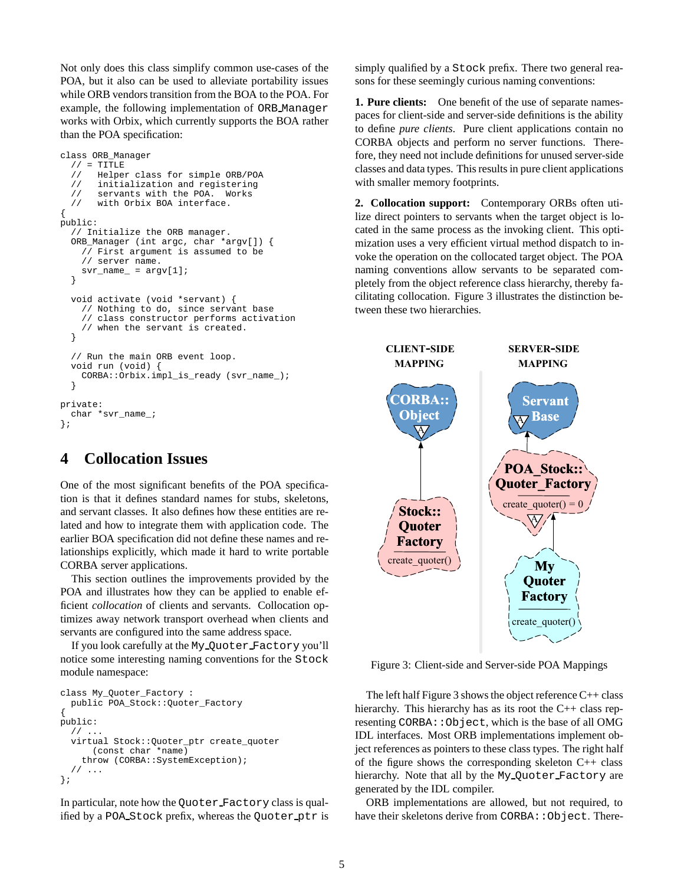Not only does this class simplify common use-cases of the POA, but it also can be used to alleviate portability issues while ORB vendors transition from the BOA to the POA. For example, the following implementation of ORB Manager works with Orbix, which currently supports the BOA rather than the POA specification:

```
class ORB_Manager
  // = TITLE// Helper class for simple ORB/POA
  // initialization and registering
  // servants with the POA. Works<br>// with Orbix BOA interface.
       with Orbix BOA interface.
{
public:
  // Initialize the ORB manager.
  ORB_Manager (int argc, char *argv[]) {
    // First argument is assumed to be
    // server name.
    svr_name_ = argv[1];}
  void activate (void *servant) {
    // Nothing to do, since servant base
    // class constructor performs activation
    // when the servant is created.
  }
  // Run the main ORB event loop.
  void run (void) {
    CORBA::Orbix.impl_is_ready (svr_name_);
  }
private:
  char *svr_name_;
};
```
# **4 Collocation Issues**

One of the most significant benefits of the POA specification is that it defines standard names for stubs, skeletons, and servant classes. It also defines how these entities are related and how to integrate them with application code. The earlier BOA specification did not define these names and relationships explicitly, which made it hard to write portable CORBA server applications.

This section outlines the improvements provided by the POA and illustrates how they can be applied to enable efficient *collocation* of clients and servants. Collocation optimizes away network transport overhead when clients and servants are configured into the same address space.

If you look carefully at the My Quoter Factory you'll notice some interesting naming conventions for the Stock module namespace:

```
class My_Quoter_Factory :
 public POA_Stock::Quoter_Factory
{
public:
  // ...
  virtual Stock::Quoter_ptr create_quoter
      (const char *name)
    throw (CORBA::SystemException);
  // \dots};
```
In particular, note how the Quoter Factory class is qualified by a POA Stock prefix, whereas the Quoter ptr is simply qualified by a Stock prefix. There two general reasons for these seemingly curious naming conventions:

**1. Pure clients:** One benefit of the use of separate namespaces for client-side and server-side definitions is the ability to define *pure clients*. Pure client applications contain no CORBA objects and perform no server functions. Therefore, they need not include definitions for unused server-side classes and data types. This results in pure client applications with smaller memory footprints.

**2. Collocation support:** Contemporary ORBs often utilize direct pointers to servants when the target object is located in the same process as the invoking client. This optimization uses a very efficient virtual method dispatch to invoke the operation on the collocated target object. The POA naming conventions allow servants to be separated completely from the object reference class hierarchy, thereby facilitating collocation. Figure 3 illustrates the distinction between these two hierarchies.



Figure 3: Client-side and Server-side POA Mappings

The left half Figure 3 shows the object reference C++ class hierarchy. This hierarchy has as its root the C++ class representing CORBA::Object, which is the base of all OMG IDL interfaces. Most ORB implementations implement object references as pointers to these class types. The right half of the figure shows the corresponding skeleton  $C++$  class hierarchy. Note that all by the My Quoter Factory are generated by the IDL compiler.

ORB implementations are allowed, but not required, to have their skeletons derive from CORBA: : Object. There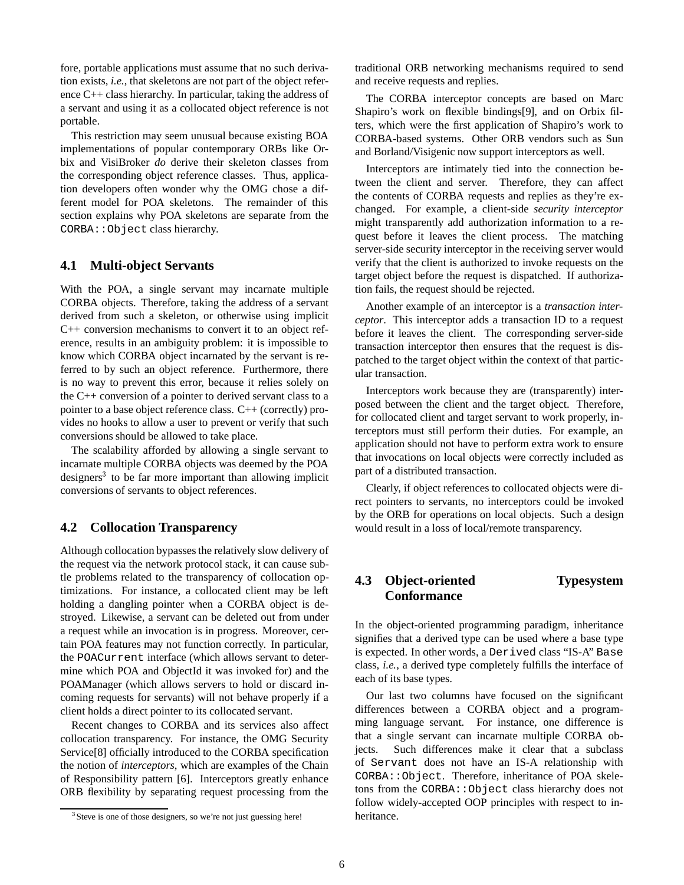fore, portable applications must assume that no such derivation exists, *i.e.*, that skeletons are not part of the object reference C++ class hierarchy. In particular, taking the address of a servant and using it as a collocated object reference is not portable.

This restriction may seem unusual because existing BOA implementations of popular contemporary ORBs like Orbix and VisiBroker *do* derive their skeleton classes from the corresponding object reference classes. Thus, application developers often wonder why the OMG chose a different model for POA skeletons. The remainder of this section explains why POA skeletons are separate from the CORBA::Object class hierarchy.

#### **4.1 Multi-object Servants**

With the POA, a single servant may incarnate multiple CORBA objects. Therefore, taking the address of a servant derived from such a skeleton, or otherwise using implicit C++ conversion mechanisms to convert it to an object reference, results in an ambiguity problem: it is impossible to know which CORBA object incarnated by the servant is referred to by such an object reference. Furthermore, there is no way to prevent this error, because it relies solely on the C++ conversion of a pointer to derived servant class to a pointer to a base object reference class. C++ (correctly) provides no hooks to allow a user to prevent or verify that such conversions should be allowed to take place.

The scalability afforded by allowing a single servant to incarnate multiple CORBA objects was deemed by the POA designers<sup>3</sup> to be far more important than allowing implicit conversions of servants to object references.

#### **4.2 Collocation Transparency**

Although collocation bypasses the relatively slow delivery of the request via the network protocol stack, it can cause subtle problems related to the transparency of collocation optimizations. For instance, a collocated client may be left holding a dangling pointer when a CORBA object is destroyed. Likewise, a servant can be deleted out from under a request while an invocation is in progress. Moreover, certain POA features may not function correctly. In particular, the POACurrent interface (which allows servant to determine which POA and ObjectId it was invoked for) and the POAManager (which allows servers to hold or discard incoming requests for servants) will not behave properly if a client holds a direct pointer to its collocated servant.

Recent changes to CORBA and its services also affect collocation transparency. For instance, the OMG Security Service[8] officially introduced to the CORBA specification the notion of *interceptors*, which are examples of the Chain of Responsibility pattern [6]. Interceptors greatly enhance ORB flexibility by separating request processing from the

traditional ORB networking mechanisms required to send and receive requests and replies.

The CORBA interceptor concepts are based on Marc Shapiro's work on flexible bindings[9], and on Orbix filters, which were the first application of Shapiro's work to CORBA-based systems. Other ORB vendors such as Sun and Borland/Visigenic now support interceptors as well.

Interceptors are intimately tied into the connection between the client and server. Therefore, they can affect the contents of CORBA requests and replies as they're exchanged. For example, a client-side *security interceptor* might transparently add authorization information to a request before it leaves the client process. The matching server-side security interceptor in the receiving server would verify that the client is authorized to invoke requests on the target object before the request is dispatched. If authorization fails, the request should be rejected.

Another example of an interceptor is a *transaction interceptor*. This interceptor adds a transaction ID to a request before it leaves the client. The corresponding server-side transaction interceptor then ensures that the request is dispatched to the target object within the context of that particular transaction.

Interceptors work because they are (transparently) interposed between the client and the target object. Therefore, for collocated client and target servant to work properly, interceptors must still perform their duties. For example, an application should not have to perform extra work to ensure that invocations on local objects were correctly included as part of a distributed transaction.

Clearly, if object references to collocated objects were direct pointers to servants, no interceptors could be invoked by the ORB for operations on local objects. Such a design would result in a loss of local/remote transparency.

## **4.3 Object-oriented Typesystem Conformance**

In the object-oriented programming paradigm, inheritance signifies that a derived type can be used where a base type is expected. In other words, a Derived class "IS-A" Base class, *i.e.*, a derived type completely fulfills the interface of each of its base types.

Our last two columns have focused on the significant differences between a CORBA object and a programming language servant. For instance, one difference is that a single servant can incarnate multiple CORBA objects. Such differences make it clear that a subclass of Servant does not have an IS-A relationship with CORBA::Object. Therefore, inheritance of POA skeletons from the CORBA::Object class hierarchy does not follow widely-accepted OOP principles with respect to inheritance.

<sup>&</sup>lt;sup>3</sup> Steve is one of those designers, so we're not just guessing here!